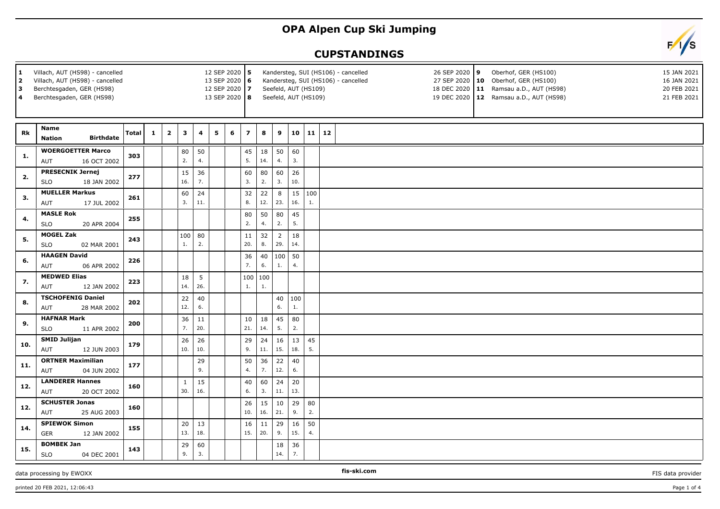## **OPA Alpen Cup Ski Jumping**

## **CUPSTANDINGS**

| Villach, AUT (HS98) - cancelled<br>1.<br>Villach, AUT (HS98) - cancelled<br>$\overline{2}$<br>Berchtesgaden, GER (HS98)<br>3<br>Berchtesgaden, GER (HS98)<br>4 |                                                      |              |              | 12 SEP 2020 5<br>13 SEP 2020 6<br>12 SEP 2020 7<br>13 SEP 2020 8 |                     |           |   | Kandersteg, SUI (HS106) - cancelled<br>26 SEP 2020 9<br>Oberhof, GER (HS100)<br>15 JAN 2021<br>16 JAN 2021<br>Kandersteg, SUI (HS106) - cancelled<br>27 SEP 2020   10 Oberhof, GER (HS100)<br>Seefeld, AUT (HS109)<br>18 DEC 2020   11 Ramsau a.D., AUT (HS98)<br>20 FEB 2021<br>Seefeld, AUT (HS109)<br>19 DEC 2020   12 Ramsau a.D., AUT (HS98)<br>21 FEB 2021 |                |                     |                       |               |                      |  |  |  |  |  |  |
|----------------------------------------------------------------------------------------------------------------------------------------------------------------|------------------------------------------------------|--------------|--------------|------------------------------------------------------------------|---------------------|-----------|---|------------------------------------------------------------------------------------------------------------------------------------------------------------------------------------------------------------------------------------------------------------------------------------------------------------------------------------------------------------------|----------------|---------------------|-----------------------|---------------|----------------------|--|--|--|--|--|--|
| Rk                                                                                                                                                             | <b>Name</b><br><b>Birthdate</b><br><b>Nation</b>     | <b>Total</b> | $\mathbf{1}$ | $\overline{2}$                                                   | 3                   | 4         | 5 | 6                                                                                                                                                                                                                                                                                                                                                                | $\overline{z}$ | 8                   | 9                     |               | $10 \mid 11 \mid 12$ |  |  |  |  |  |  |
| $\mathbf{1}$ .                                                                                                                                                 | <b>WOERGOETTER Marco</b><br>AUT<br>16 OCT 2002       | 303          |              |                                                                  | 80<br>2.            | 50<br>4.  |   |                                                                                                                                                                                                                                                                                                                                                                  | 45<br>5.       | 18<br>14.           | 50<br>4.              | 60<br>3.      |                      |  |  |  |  |  |  |
| 2.                                                                                                                                                             | <b>PRESECNIK Jernej</b><br><b>SLO</b><br>18 JAN 2002 | 277          |              |                                                                  | 15<br>16.           | 36<br>7.  |   |                                                                                                                                                                                                                                                                                                                                                                  | 60<br>3.       | 80<br>2.            | 60<br>3.              | 26<br>10.     |                      |  |  |  |  |  |  |
| 3.                                                                                                                                                             | <b>MUELLER Markus</b><br>AUT<br>17 JUL 2002          | 261          |              |                                                                  | 60<br>3.            | 24<br>11. |   |                                                                                                                                                                                                                                                                                                                                                                  | 32<br>8.       | 22<br>12.           | 8<br>23.              | 15 100<br>16. | 1.                   |  |  |  |  |  |  |
| 4.                                                                                                                                                             | <b>MASLE Rok</b><br><b>SLO</b><br>20 APR 2004        | 255          |              |                                                                  |                     |           |   |                                                                                                                                                                                                                                                                                                                                                                  | 80<br>2.       | 50<br>4.            | 80<br>2.              | 45<br>5.      |                      |  |  |  |  |  |  |
| 5.                                                                                                                                                             | <b>MOGEL Zak</b><br><b>SLO</b><br>02 MAR 2001        | 243          |              |                                                                  | 100<br>1.           | 80<br>2.  |   |                                                                                                                                                                                                                                                                                                                                                                  | 11<br>20.      | 32<br>8.            | $\overline{2}$<br>29. | 18<br>14.     |                      |  |  |  |  |  |  |
| 6.                                                                                                                                                             | <b>HAAGEN David</b><br>AUT<br>06 APR 2002            | 226          |              |                                                                  |                     |           |   |                                                                                                                                                                                                                                                                                                                                                                  | 36<br>7.       | 40<br>6.            | 100<br>1.             | 50<br>4.      |                      |  |  |  |  |  |  |
| 7.                                                                                                                                                             | <b>MEDWED Elias</b><br>AUT<br>12 JAN 2002            | 223          |              |                                                                  | 18<br>14.           | 5<br>26.  |   |                                                                                                                                                                                                                                                                                                                                                                  | 100<br>1.      | $ 100\rangle$<br>1. |                       |               |                      |  |  |  |  |  |  |
| 8.                                                                                                                                                             | <b>TSCHOFENIG Daniel</b><br>28 MAR 2002<br>AUT       | 202          |              |                                                                  | 22<br>12.           | 40<br>6.  |   |                                                                                                                                                                                                                                                                                                                                                                  |                |                     | 40<br>6.              | 100<br>1.     |                      |  |  |  |  |  |  |
| 9.                                                                                                                                                             | <b>HAFNAR Mark</b><br>11 APR 2002<br><b>SLO</b>      | 200          |              |                                                                  | 36<br>7.            | 11<br>20. |   |                                                                                                                                                                                                                                                                                                                                                                  | 10<br>21.      | 18<br>14.           | 45<br>5.              | 80<br>2.      |                      |  |  |  |  |  |  |
| 10.                                                                                                                                                            | <b>SMID Julijan</b><br>AUT<br>12 JUN 2003            | 179          |              |                                                                  | 26<br>10.           | 26<br>10. |   |                                                                                                                                                                                                                                                                                                                                                                  | 29<br>9.       | 24<br>11.           | 16<br>15.             | 13<br>18.     | 45<br>5.             |  |  |  |  |  |  |
| 11.                                                                                                                                                            | <b>ORTNER Maximilian</b><br>04 JUN 2002<br>AUT       | 177          |              |                                                                  |                     | 29<br>9.  |   |                                                                                                                                                                                                                                                                                                                                                                  | 50<br>4.       | 36<br>7.            | 22<br>12.             | 40<br>6.      |                      |  |  |  |  |  |  |
| 12.                                                                                                                                                            | <b>LANDERER Hannes</b><br>AUT<br>20 OCT 2002         | 160          |              |                                                                  | $\mathbf{1}$<br>30. | 15<br>16. |   |                                                                                                                                                                                                                                                                                                                                                                  | 40<br>6.       | 60<br>3.            | 24<br>11.             | 20<br>13.     |                      |  |  |  |  |  |  |
| 12.                                                                                                                                                            | <b>SCHUSTER Jonas</b><br>AUT<br>25 AUG 2003          | 160          |              |                                                                  |                     |           |   |                                                                                                                                                                                                                                                                                                                                                                  | 26<br>10.      | 15<br>16.           | 10<br>21.             | 29<br>9.      | 80<br>2.             |  |  |  |  |  |  |
| 14.                                                                                                                                                            | <b>SPIEWOK Simon</b><br><b>GER</b><br>12 JAN 2002    | 155          |              |                                                                  | 20<br>13.           | 13<br>18. |   |                                                                                                                                                                                                                                                                                                                                                                  | 16<br>15.      | 11<br> 20.          | 29<br>9.              | 16<br>15.     | 50<br>4.             |  |  |  |  |  |  |
| 15.                                                                                                                                                            | <b>BOMBEK Jan</b><br><b>SLO</b><br>04 DEC 2001       | 143          |              |                                                                  | 29<br>9.            | 60<br>3.  |   |                                                                                                                                                                                                                                                                                                                                                                  |                |                     | 18<br>14.             | 36<br>7.      |                      |  |  |  |  |  |  |

## data processing by EWOXX **FIS-SHOOT CONSUMING THE-SKI.COM FIS-SKI.COM FIS** data provider

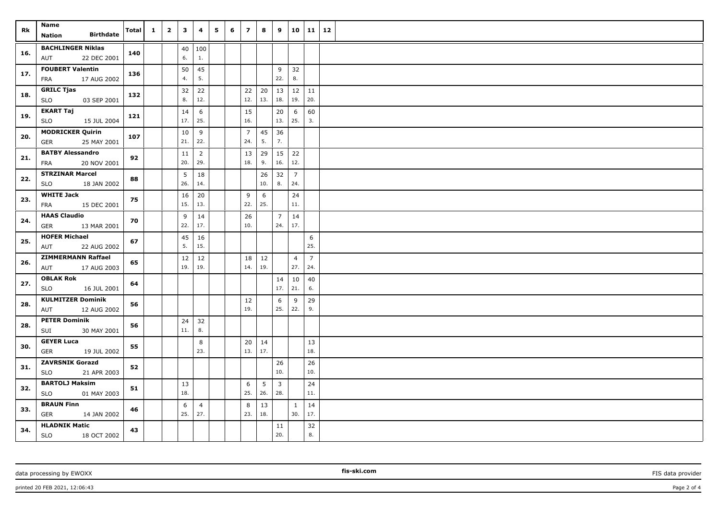| Rk  | Name<br><b>Birthdate</b><br>Nation                  | Total | $\mathbf{1}$ | $\overline{\mathbf{2}}$ | $\mathbf{3}$ | 4                     | 5 | 6 | $\overline{z}$        | 8         | 9                     | 10                    | 11                    | 12 |  |
|-----|-----------------------------------------------------|-------|--------------|-------------------------|--------------|-----------------------|---|---|-----------------------|-----------|-----------------------|-----------------------|-----------------------|----|--|
| 16. | <b>BACHLINGER Niklas</b><br>AUT<br>22 DEC 2001      | 140   |              |                         | 6.           | 40 100<br>1.          |   |   |                       |           |                       |                       |                       |    |  |
| 17. | <b>FOUBERT Valentin</b><br>17 AUG 2002<br>FRA       | 136   |              |                         | 50<br>4.     | 45<br>5.              |   |   |                       |           | 9<br>22.              | 32<br>8.              |                       |    |  |
| 18. | <b>GRILC Tjas</b><br><b>SLO</b><br>03 SEP 2001      | 132   |              |                         | 32<br>8.     | 22<br>12.             |   |   | 22<br>12.             | 13.       | $20 \mid 13$<br>18.   | $12 \mid 11$<br>19.   | 20.                   |    |  |
| 19. | <b>EKART Taj</b><br><b>SLO</b><br>15 JUL 2004       | 121   |              |                         | 14<br>17.    | 6<br>25.              |   |   | 15<br>16.             |           | 20<br>13.             | 6<br>25.              | 60<br>3.              |    |  |
| 20. | <b>MODRICKER Quirin</b><br>GER<br>25 MAY 2001       | 107   |              |                         | 10<br>21.    | 9<br>22.              |   |   | $\overline{7}$<br>24. | 45<br>5.  | 36<br>7.              |                       |                       |    |  |
| 21. | <b>BATBY Alessandro</b><br>20 NOV 2001<br>FRA       | 92    |              |                         | 11<br>20.    | $\overline{2}$<br>29. |   |   | 13<br>18.             | 29<br>9.  | $\vert$ 15<br>16.     | 22<br>12.             |                       |    |  |
| 22. | <b>STRZINAR Marcel</b><br><b>SLO</b><br>18 JAN 2002 | 88    |              |                         | 5<br>26.     | 18<br>14.             |   |   |                       | 26<br>10. | 32<br>8.              | $\overline{7}$<br>24. |                       |    |  |
| 23. | <b>WHITE Jack</b><br>FRA<br>15 DEC 2001             | 75    |              |                         | 16<br>15.    | 20<br>13.             |   |   | 9<br>22.              | 6<br>25.  |                       | 24<br>11.             |                       |    |  |
| 24. | <b>HAAS Claudio</b><br>GER<br>13 MAR 2001           | 70    |              |                         | 9<br>22.     | 14<br>17.             |   |   | 26<br>10.             |           | $\overline{7}$<br>24. | 14<br>17.             |                       |    |  |
| 25. | <b>HOFER Michael</b><br>AUT<br>22 AUG 2002          | 67    |              |                         | 45<br>5.     | 16<br>15.             |   |   |                       |           |                       |                       | 6<br>25.              |    |  |
| 26. | <b>ZIMMERMANN Raffael</b><br>AUT<br>17 AUG 2003     | 65    |              |                         | 12<br>19.    | 12<br>19.             |   |   | 18<br>14.             | 12<br>19. |                       | $\overline{4}$<br>27. | $\overline{7}$<br>24. |    |  |
| 27. | <b>OBLAK Rok</b><br><b>SLO</b><br>16 JUL 2001       | 64    |              |                         |              |                       |   |   |                       |           | 14<br>17.             | 10<br>21.             | 40<br>6.              |    |  |
| 28. | <b>KULMITZER Dominik</b><br>AUT<br>12 AUG 2002      | 56    |              |                         |              |                       |   |   | 12<br>19.             |           | 6<br>25.              | 9<br>22.              | 29<br>9.              |    |  |
| 28. | <b>PETER Dominik</b><br>30 MAY 2001<br>SUI          | 56    |              |                         | 24<br>11.    | 32<br>8.              |   |   |                       |           |                       |                       |                       |    |  |
| 30. | <b>GEYER Luca</b><br>GER<br>19 JUL 2002             | 55    |              |                         |              | 8<br>23.              |   |   | 20<br>13.             | 14<br>17. |                       |                       | 13<br>18.             |    |  |
| 31. | <b>ZAVRSNIK Gorazd</b><br>21 APR 2003<br><b>SLO</b> | 52    |              |                         |              |                       |   |   |                       |           | 26<br>10.             |                       | 26<br>10.             |    |  |
| 32. | <b>BARTOLJ Maksim</b><br><b>SLO</b><br>01 MAY 2003  | 51    |              |                         | 13<br>18.    |                       |   |   | 6<br>25.              | 5<br>26.  | $\overline{3}$<br>28. |                       | 24<br>11.             |    |  |
| 33. | <b>BRAUN Finn</b><br>GER<br>14 JAN 2002             | 46    |              |                         | 6<br>25.     | 4<br>27.              |   |   | 8<br>23.              | 13<br>18. |                       | $\mathbf{1}$<br>30.   | 14<br>17.             |    |  |
| 34. | <b>HLADNIK Matic</b><br><b>SLO</b><br>18 OCT 2002   | 43    |              |                         |              |                       |   |   |                       |           | 11<br>20.             |                       | 32<br>8.              |    |  |

data processing by EWOXX **FIS data provider FIS data provider FIS data provider FIS data provider FIS data provider** 

printed 20 FEB 2021, 12:06:43 Page 2 of 4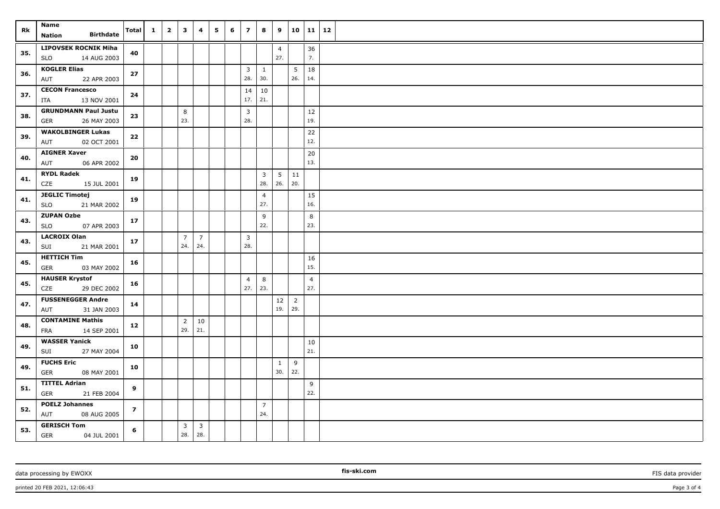| Rk  | Name<br><b>Birthdate</b><br>Nation                       | Total          | $\mathbf{1}$ | $\overline{\mathbf{2}}$ | $\overline{\mathbf{3}}$ | 4                              | 5 | 6 | $\overline{z}$ | 8              | 9                     |                       |                | $10 \mid 11 \mid 12$ |
|-----|----------------------------------------------------------|----------------|--------------|-------------------------|-------------------------|--------------------------------|---|---|----------------|----------------|-----------------------|-----------------------|----------------|----------------------|
|     |                                                          |                |              |                         |                         |                                |   |   |                |                |                       |                       |                |                      |
| 35. | <b>LIPOVSEK ROCNIK Miha</b><br><b>SLO</b><br>14 AUG 2003 | 40             |              |                         |                         |                                |   |   |                |                | $\overline{4}$<br>27. |                       | 36<br>7.       |                      |
|     | <b>KOGLER Elias</b>                                      |                |              |                         |                         |                                |   |   | $\overline{3}$ | $\mathbf{1}$   |                       | 5                     | 18             |                      |
| 36. | 22 APR 2003<br>AUT                                       | 27             |              |                         |                         |                                |   |   | 28.            | 30.            |                       | 26.                   | 14.            |                      |
| 37. | <b>CECON Francesco</b>                                   | 24             |              |                         |                         |                                |   |   | 14             | 10             |                       |                       |                |                      |
|     | 13 NOV 2001<br>ITA                                       |                |              |                         |                         |                                |   |   | 17.            | 21.            |                       |                       |                |                      |
| 38. | <b>GRUNDMANN Paul Justu</b>                              | 23             |              |                         | 8                       |                                |   |   | $\overline{3}$ |                |                       |                       | 12             |                      |
|     | GER<br>26 MAY 2003                                       |                |              |                         | 23.                     |                                |   |   | 28.            |                |                       |                       | 19.            |                      |
| 39. | <b>WAKOLBINGER Lukas</b><br>AUT<br>02 OCT 2001           | 22             |              |                         |                         |                                |   |   |                |                |                       |                       | 22<br>12.      |                      |
|     | <b>AIGNER Xaver</b>                                      |                |              |                         |                         |                                |   |   |                |                |                       |                       | 20             |                      |
| 40. | 06 APR 2002<br>AUT                                       | 20             |              |                         |                         |                                |   |   |                |                |                       |                       | 13.            |                      |
| 41. | <b>RYDL Radek</b>                                        | 19             |              |                         |                         |                                |   |   |                | $\overline{3}$ | $5\overline{)}$       | 11                    |                |                      |
|     | CZE<br>15 JUL 2001                                       |                |              |                         |                         |                                |   |   |                | 28.            | 26.                   | 20.                   |                |                      |
| 41. | <b>JEGLIC Timotej</b>                                    | 19             |              |                         |                         |                                |   |   |                | $\overline{4}$ |                       |                       | 15             |                      |
|     | <b>SLO</b><br>21 MAR 2002                                |                |              |                         |                         |                                |   |   |                | 27.            |                       |                       | 16.            |                      |
| 43. | <b>ZUPAN Ozbe</b><br>07 APR 2003<br><b>SLO</b>           | 17             |              |                         |                         |                                |   |   |                | 9<br>22.       |                       |                       | 8<br>23.       |                      |
|     | <b>LACROIX Olan</b>                                      |                |              |                         | $\overline{7}$          | $\overline{7}$                 |   |   | $\overline{3}$ |                |                       |                       |                |                      |
| 43. | SUI<br>21 MAR 2001                                       | 17             |              |                         | 24.                     | 24.                            |   |   | 28.            |                |                       |                       |                |                      |
| 45. | <b>HETTICH Tim</b>                                       | 16             |              |                         |                         |                                |   |   |                |                |                       |                       | 16             |                      |
|     | 03 MAY 2002<br>GER                                       |                |              |                         |                         |                                |   |   |                |                |                       |                       | 15.            |                      |
| 45. | <b>HAUSER Krystof</b>                                    | 16             |              |                         |                         |                                |   |   | $\overline{4}$ | 8              |                       |                       | $\overline{4}$ |                      |
|     | CZE<br>29 DEC 2002                                       |                |              |                         |                         |                                |   |   | 27.            | 23.            |                       |                       | 27.            |                      |
| 47. | <b>FUSSENEGGER Andre</b><br>31 JAN 2003<br>AUT           | 14             |              |                         |                         |                                |   |   |                |                | 12<br>19.             | $\overline{2}$<br>29. |                |                      |
|     | <b>CONTAMINE Mathis</b>                                  |                |              |                         | $\overline{2}$          | 10                             |   |   |                |                |                       |                       |                |                      |
| 48. | FRA<br>14 SEP 2001                                       | 12             |              |                         | 29.                     | 21.                            |   |   |                |                |                       |                       |                |                      |
| 49. | <b>WASSER Yanick</b>                                     | 10             |              |                         |                         |                                |   |   |                |                |                       |                       | 10             |                      |
|     | SUI<br>27 MAY 2004                                       |                |              |                         |                         |                                |   |   |                |                |                       |                       | 21.            |                      |
| 49. | <b>FUCHS Eric</b><br><b>GER</b>                          | 10             |              |                         |                         |                                |   |   |                |                | $\mathbf{1}$<br>30.   | 9<br>22.              |                |                      |
|     | 08 MAY 2001<br><b>TITTEL Adrian</b>                      |                |              |                         |                         |                                |   |   |                |                |                       |                       |                |                      |
| 51. | GER<br>21 FEB 2004                                       | 9              |              |                         |                         |                                |   |   |                |                |                       |                       | 9<br>22.       |                      |
|     | <b>POELZ Johannes</b>                                    |                |              |                         |                         |                                |   |   |                | $\overline{7}$ |                       |                       |                |                      |
| 52. | AUT<br>08 AUG 2005                                       | $\overline{z}$ |              |                         |                         |                                |   |   |                | 24.            |                       |                       |                |                      |
| 53. | <b>GERISCH Tom</b><br>GER<br>04 JUL 2001                 | 6              |              |                         | $\overline{3}$<br>28.   | $\overline{\mathbf{3}}$<br>28. |   |   |                |                |                       |                       |                |                      |

data processing by EWOXX **FIS data provider FIS data provider FIS data provider FIS data provider FIS data provider** 

printed 20 FEB 2021, 12:06:43 Page 3 of 4